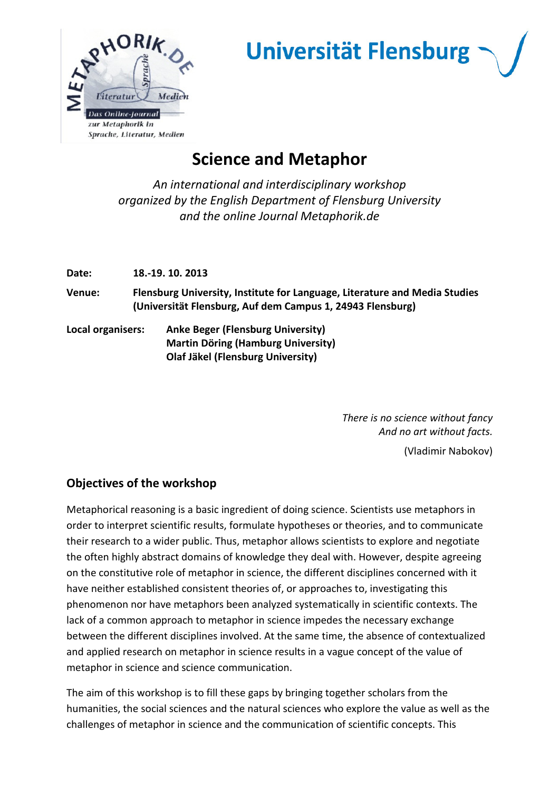

## **Universität Flensburg**

## **Science and Metaphor**

*An international and interdisciplinary workshop organized by the English Department of Flensburg University and the online Journal Metaphorik.de* 

**Date: 18.-19. 10. 2013** 

**Venue: Flensburg University, Institute for Language, Literature and Media Studies (Universität Flensburg, Auf dem Campus 1, 24943 Flensburg)** 

**Local organisers: Anke Beger (Flensburg University) Martin Döring (Hamburg University) Olaf Jäkel (Flensburg University)** 

> *There is no science without fancy And no art without facts.*

> > (Vladimir Nabokov)

## **Objectives of the workshop**

Metaphorical reasoning is a basic ingredient of doing science. Scientists use metaphors in order to interpret scientific results, formulate hypotheses or theories, and to communicate their research to a wider public. Thus, metaphor allows scientists to explore and negotiate the often highly abstract domains of knowledge they deal with. However, despite agreeing on the constitutive role of metaphor in science, the different disciplines concerned with it have neither established consistent theories of, or approaches to, investigating this phenomenon nor have metaphors been analyzed systematically in scientific contexts. The lack of a common approach to metaphor in science impedes the necessary exchange between the different disciplines involved. At the same time, the absence of contextualized and applied research on metaphor in science results in a vague concept of the value of metaphor in science and science communication.

The aim of this workshop is to fill these gaps by bringing together scholars from the humanities, the social sciences and the natural sciences who explore the value as well as the challenges of metaphor in science and the communication of scientific concepts. This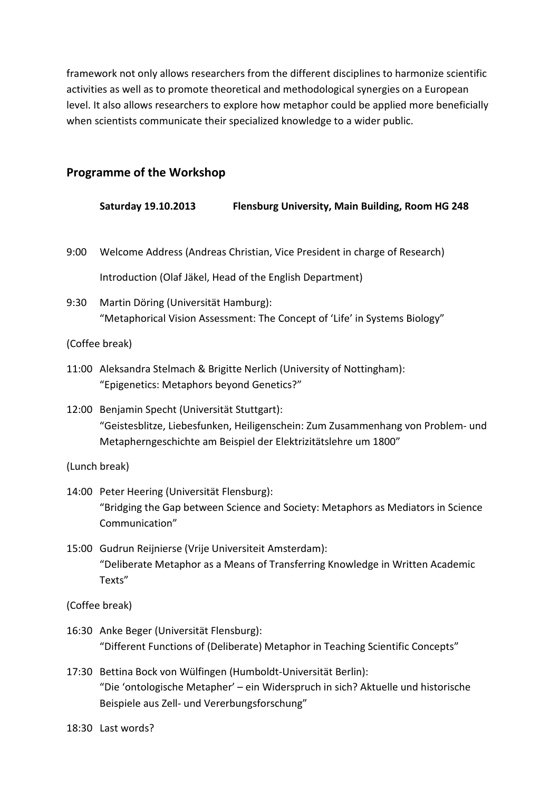framework not only allows researchers from the different disciplines to harmonize scientific activities as well as to promote theoretical and methodological synergies on a European level. It also allows researchers to explore how metaphor could be applied more beneficially when scientists communicate their specialized knowledge to a wider public.

## **Programme of the Workshop**

|                | Saturday 19.10.2013<br>Flensburg University, Main Building, Room HG 248                                                                                                                              |  |  |
|----------------|------------------------------------------------------------------------------------------------------------------------------------------------------------------------------------------------------|--|--|
| 9:00           | Welcome Address (Andreas Christian, Vice President in charge of Research)                                                                                                                            |  |  |
|                | Introduction (Olaf Jäkel, Head of the English Department)                                                                                                                                            |  |  |
| 9:30           | Martin Döring (Universität Hamburg):<br>"Metaphorical Vision Assessment: The Concept of 'Life' in Systems Biology"                                                                                   |  |  |
| (Coffee break) |                                                                                                                                                                                                      |  |  |
|                | 11:00 Aleksandra Stelmach & Brigitte Nerlich (University of Nottingham):<br>"Epigenetics: Metaphors beyond Genetics?"                                                                                |  |  |
|                | 12:00 Benjamin Specht (Universität Stuttgart):<br>"Geistesblitze, Liebesfunken, Heiligenschein: Zum Zusammenhang von Problem- und<br>Metapherngeschichte am Beispiel der Elektrizitätslehre um 1800" |  |  |
| (Lunch break)  |                                                                                                                                                                                                      |  |  |
|                | 14:00 Peter Heering (Universität Flensburg):<br>"Bridging the Gap between Science and Society: Metaphors as Mediators in Science<br>Communication"                                                   |  |  |
|                | 15:00 Gudrun Reijnierse (Vrije Universiteit Amsterdam):<br>"Deliberate Metaphor as a Means of Transferring Knowledge in Written Academic<br>Texts"                                                   |  |  |
|                | (Coffee break)                                                                                                                                                                                       |  |  |
|                | 16:30 Anke Beger (Universität Flensburg):<br>"Different Functions of (Deliberate) Metaphor in Teaching Scientific Concepts"                                                                          |  |  |
| 17:30          | Bettina Bock von Wülfingen (Humboldt-Universität Berlin):<br>"Die 'ontologische Metapher' - ein Widerspruch in sich? Aktuelle und historische                                                        |  |  |

18:30 Last words?

Beispiele aus Zell- und Vererbungsforschung"